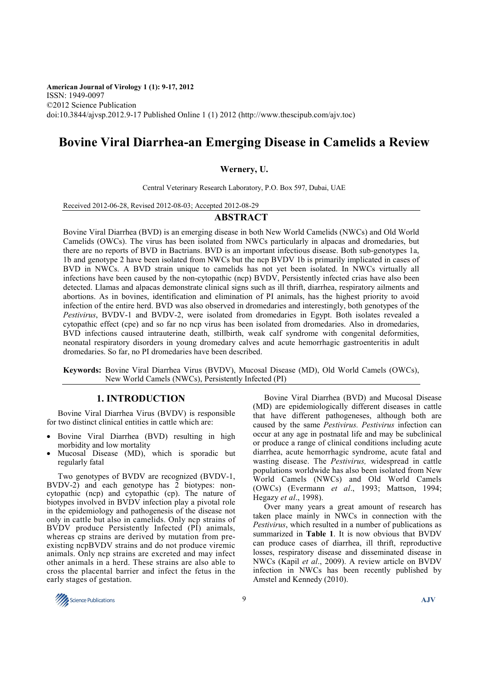**American Journal of Virology 1 (1): 9-17, 2012**  ISSN: 1949-0097 ©2012 Science Publication doi:10.3844/ajvsp.2012.9-17 Published Online 1 (1) 2012 (http://www.thescipub.com/ajv.toc)

# **Bovine Viral Diarrhea-an Emerging Disease in Camelids a Review**

### **Wernery, U.**

Central Veterinary Research Laboratory, P.O. Box 597, Dubai, UAE

Received 2012-06-28, Revised 2012-08-03; Accepted 2012-08-29

## **ABSTRACT**

Bovine Viral Diarrhea (BVD) is an emerging disease in both New World Camelids (NWCs) and Old World Camelids (OWCs). The virus has been isolated from NWCs particularly in alpacas and dromedaries, but there are no reports of BVD in Bactrians. BVD is an important infectious disease. Both sub-genotypes 1a, 1b and genotype 2 have been isolated from NWCs but the ncp BVDV 1b is primarily implicated in cases of BVD in NWCs. A BVD strain unique to camelids has not yet been isolated. In NWCs virtually all infections have been caused by the non-cytopathic (ncp) BVDV, Persistently infected crias have also been detected. Llamas and alpacas demonstrate clinical signs such as ill thrift, diarrhea, respiratory ailments and abortions. As in bovines, identification and elimination of PI animals, has the highest priority to avoid infection of the entire herd. BVD was also observed in dromedaries and interestingly, both genotypes of the *Pestivirus*, BVDV-1 and BVDV-2, were isolated from dromedaries in Egypt. Both isolates revealed a cytopathic effect (cpe) and so far no ncp virus has been isolated from dromedaries. Also in dromedaries, BVD infections caused intrauterine death, stillbirth, weak calf syndrome with congenital deformities, neonatal respiratory disorders in young dromedary calves and acute hemorrhagic gastroenteritis in adult dromedaries. So far, no PI dromedaries have been described.

**Keywords:** Bovine Viral Diarrhea Virus (BVDV), Mucosal Disease (MD), Old World Camels (OWCs), New World Camels (NWCs), Persistently Infected (PI)

# **1. INTRODUCTION**

Bovine Viral Diarrhea Virus (BVDV) is responsible for two distinct clinical entities in cattle which are:

- Bovine Viral Diarrhea (BVD) resulting in high morbidity and low mortality
- Mucosal Disease (MD), which is sporadic but regularly fatal

Two genotypes of BVDV are recognized (BVDV-1, BVDV-2) and each genotype has 2 biotypes: noncytopathic (ncp) and cytopathic (cp). The nature of biotypes involved in BVDV infection play a pivotal role in the epidemiology and pathogenesis of the disease not only in cattle but also in camelids. Only ncp strains of BVDV produce Persistently Infected (PI) animals, whereas cp strains are derived by mutation from preexisting ncpBVDV strains and do not produce viremic animals. Only ncp strains are excreted and may infect other animals in a herd. These strains are also able to cross the placental barrier and infect the fetus in the early stages of gestation.

Bovine Viral Diarrhea (BVD) and Mucosal Disease (MD) are epidemiologically different diseases in cattle that have different pathogeneses, although both are caused by the same *Pestivirus. Pestivirus* infection can occur at any age in postnatal life and may be subclinical or produce a range of clinical conditions including acute diarrhea, acute hemorrhagic syndrome, acute fatal and wasting disease. The *Pestivirus,* widespread in cattle populations worldwide has also been isolated from New World Camels (NWCs) and Old World Camels (OWCs) (Evermann *et al*., 1993; Mattson, 1994; Hegazy *et al*., 1998).

Over many years a great amount of research has taken place mainly in NWCs in connection with the *Pestivirus*, which resulted in a number of publications as summarized in **Table 1**. It is now obvious that BVDV can produce cases of diarrhea, ill thrift, reproductive losses, respiratory disease and disseminated disease in NWCs (Kapil *et al*., 2009). A review article on BVDV infection in NWCs has been recently published by Amstel and Kennedy (2010).

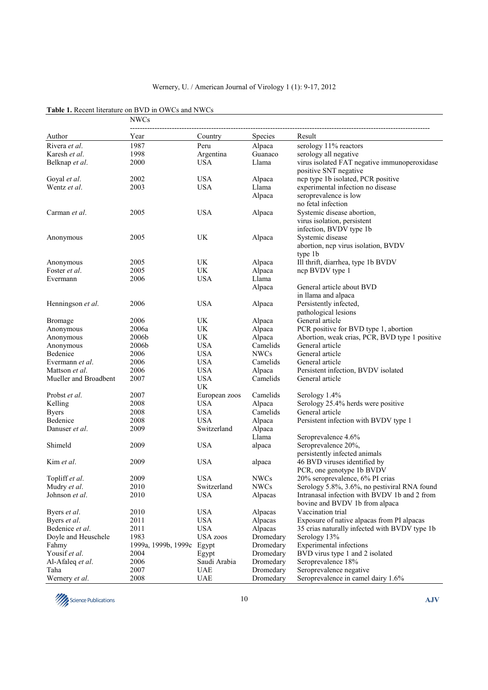|                       | <b>NWCs</b>         |                 |                |                                                |  |
|-----------------------|---------------------|-----------------|----------------|------------------------------------------------|--|
| Author                | Year                | Country         | <b>Species</b> | Result                                         |  |
| Rivera et al.         | 1987                | Peru            | Alpaca         | serology 11% reactors                          |  |
| Karesh et al.         | 1998                | Argentina       | Guanaco        | serology all negative                          |  |
| Belknap et al.        | 2000                | <b>USA</b>      | Llama          | virus isolated FAT negative immunoperoxidase   |  |
|                       |                     |                 |                | positive SNT negative                          |  |
| Goyal et al.          | 2002                | <b>USA</b>      | Alpaca         | ncp type 1b isolated, PCR positive             |  |
| Wentz et al.          | 2003                | <b>USA</b>      | Llama          | experimental infection no disease              |  |
|                       |                     |                 | Alpaca         | seroprevalence is low                          |  |
|                       |                     |                 |                | no fetal infection                             |  |
| Carman et al.         | 2005                | <b>USA</b>      | Alpaca         | Systemic disease abortion,                     |  |
|                       |                     |                 |                | virus isolation, persistent                    |  |
|                       |                     |                 |                | infection, BVDV type 1b                        |  |
| Anonymous             | 2005                | UK              | Alpaca         | Systemic disease                               |  |
|                       |                     |                 |                | abortion, ncp virus isolation, BVDV            |  |
|                       |                     |                 |                | type 1b                                        |  |
| Anonymous             | 2005                | UK              | Alpaca         | Ill thrift, diarrhea, type 1b BVDV             |  |
| Foster et al.         | 2005                | UK              | Alpaca         | ncp BVDV type 1                                |  |
| Evermann              | 2006                | <b>USA</b>      | Llama          |                                                |  |
|                       |                     |                 | Alpaca         | General article about BVD                      |  |
|                       |                     |                 |                | in Ilama and alpaca                            |  |
| Henningson et al.     | 2006                | <b>USA</b>      | Alpaca         | Persistently infected,                         |  |
|                       |                     |                 |                | pathological lesions                           |  |
| <b>Bromage</b>        | 2006                | UK              | Alpaca         | General article                                |  |
| Anonymous             | 2006a               | UK              | Alpaca         | PCR positive for BVD type 1, abortion          |  |
| Anonymous             | 2006b               | UK              | Alpaca         | Abortion, weak crias, PCR, BVD type 1 positive |  |
| Anonymous             | 2006b               | <b>USA</b>      | Camelids       | General article                                |  |
| Bedenice              | 2006                | <b>USA</b>      | <b>NWCs</b>    | General article                                |  |
| Evermann et al.       | 2006                | <b>USA</b>      | Camelids       | General article                                |  |
| Mattson et al.        | 2006                | <b>USA</b>      | Alpaca         | Persistent infection, BVDV isolated            |  |
| Mueller and Broadbent | 2007                | <b>USA</b>      | Camelids       | General article                                |  |
|                       |                     | UK              |                |                                                |  |
| Probst et al.         | 2007                | European zoos   | Camelids       | Serology 1.4%                                  |  |
| Kelling               | 2008                | <b>USA</b>      | Alpaca         | Serology 25.4% herds were positive             |  |
| <b>Byers</b>          | 2008                | <b>USA</b>      | Camelids       | General article                                |  |
| Bedenice              | 2008                | <b>USA</b>      | Alpaca         | Persistent infection with BVDV type 1          |  |
| Danuser <i>et al.</i> | 2009                | Switzerland     | Alpaca         |                                                |  |
|                       |                     |                 | Llama          | Seroprevalence 4.6%                            |  |
| Shimeld               | 2009                | <b>USA</b>      | alpaca         | Seroprevalence 20%,                            |  |
|                       |                     |                 |                | persistently infected animals                  |  |
| Kim et al.            | 2009                | <b>USA</b>      | alpaca         | 46 BVD viruses identified by                   |  |
|                       |                     |                 |                | PCR, one genotype 1b BVDV                      |  |
| Topliff et al.        | 2009                | <b>USA</b>      | <b>NWCs</b>    | 20% seroprevalence, 6% PI crias                |  |
| Mudry et al.          | 2010                | Switzerland     | NWCs           | Serology 5.8%, 3.6%, no pestiviral RNA found   |  |
| Johnson et al.        | 2010                | <b>USA</b>      | Alpacas        | Intranasal infection with BVDV 1b and 2 from   |  |
|                       |                     |                 |                | bovine and BVDV 1b from alpaca                 |  |
| Byers <i>et al.</i>   | 2010                | <b>USA</b>      | Alpacas        | Vaccination trial                              |  |
| Byers et al.          | 2011                | <b>USA</b>      | Alpacas        | Exposure of native alpacas from PI alpacas     |  |
| Bedenice et al.       | 2011                | <b>USA</b>      | Alpacas        | 35 crias naturally infected with BVDV type 1b  |  |
| Doyle and Heuschele   | 1983                | <b>USA</b> zoos | Dromedary      | Serology 13%                                   |  |
| Fahmy                 | 1999a, 1999b, 1999c | Egypt           | Dromedary      | Experimental infections                        |  |
| Yousif et al.         | 2004                | Egypt           | Dromedary      | BVD virus type 1 and 2 isolated                |  |
| Al-Afaleq et al.      | 2006                | Saudi Arabia    | Dromedary      | Seroprevalence 18%                             |  |
| Taha                  | 2007                | <b>UAE</b>      | Dromedary      | Seroprevalence negative                        |  |
| Wernery et al.        | 2008                | <b>UAE</b>      | Dromedary      | Seroprevalence in camel dairy 1.6%             |  |

| <b>Table 1.</b> Recent literature on BVD in OWCs and NWCs |  |  |
|-----------------------------------------------------------|--|--|
|-----------------------------------------------------------|--|--|

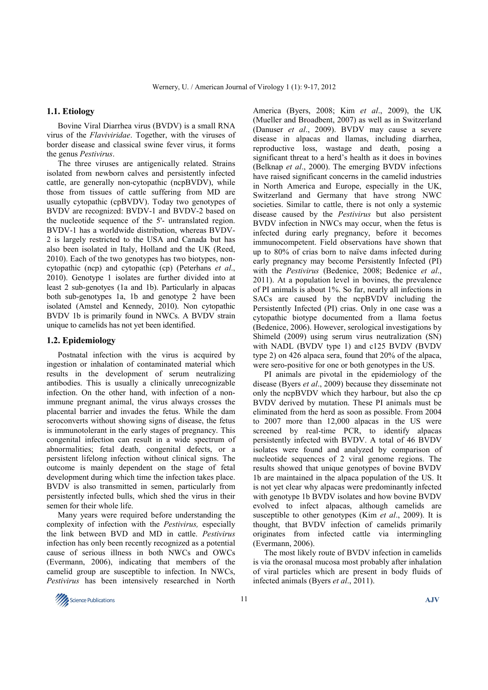#### **1.1. Etiology**

Bovine Viral Diarrhea virus (BVDV) is a small RNA virus of the *Flaviviridae*. Together, with the viruses of border disease and classical swine fever virus, it forms the genus *Pestivirus*.

The three viruses are antigenically related. Strains isolated from newborn calves and persistently infected cattle, are generally non-cytopathic (ncpBVDV), while those from tissues of cattle suffering from MD are usually cytopathic (cpBVDV). Today two genotypes of BVDV are recognized: BVDV-1 and BVDV-2 based on the nucleotide sequence of the 5'- untranslated region. BVDV-1 has a worldwide distribution, whereas BVDV-2 is largely restricted to the USA and Canada but has also been isolated in Italy, Holland and the UK (Reed, 2010). Each of the two genotypes has two biotypes, noncytopathic (ncp) and cytopathic (cp) (Peterhans *et al*., 2010). Genotype 1 isolates are further divided into at least 2 sub-genotyes (1a and 1b). Particularly in alpacas both sub-genotypes 1a, 1b and genotype 2 have been isolated (Amstel and Kennedy, 2010). Non cytopathic BVDV 1b is primarily found in NWCs. A BVDV strain unique to camelids has not yet been identified.

#### **1.2. Epidemiology**

Postnatal infection with the virus is acquired by ingestion or inhalation of contaminated material which results in the development of serum neutralizing antibodies. This is usually a clinically unrecognizable infection. On the other hand, with infection of a nonimmune pregnant animal, the virus always crosses the placental barrier and invades the fetus. While the dam seroconverts without showing signs of disease, the fetus is immunotolerant in the early stages of pregnancy. This congenital infection can result in a wide spectrum of abnormalities; fetal death, congenital defects, or a persistent lifelong infection without clinical signs. The outcome is mainly dependent on the stage of fetal development during which time the infection takes place. BVDV is also transmitted in semen, particularly from persistently infected bulls, which shed the virus in their semen for their whole life.

Many years were required before understanding the complexity of infection with the *Pestivirus,* especially the link between BVD and MD in cattle. *Pestivirus*  infection has only been recently recognized as a potential cause of serious illness in both NWCs and OWCs (Evermann, 2006), indicating that members of the camelid group are susceptible to infection. In NWCs, *Pestivirus* has been intensively researched in North

America (Byers, 2008; Kim *et al*., 2009), the UK (Mueller and Broadbent, 2007) as well as in Switzerland (Danuser *et al*., 2009). BVDV may cause a severe disease in alpacas and llamas, including diarrhea, reproductive loss, wastage and death, posing a significant threat to a herd's health as it does in bovines (Belknap *et al*., 2000). The emerging BVDV infections have raised significant concerns in the camelid industries in North America and Europe, especially in the UK, Switzerland and Germany that have strong NWC societies. Similar to cattle, there is not only a systemic disease caused by the *Pestivirus* but also persistent BVDV infection in NWCs may occur, when the fetus is infected during early pregnancy, before it becomes immunocompetent. Field observations have shown that up to 80% of crias born to naïve dams infected during early pregnancy may become Persistently Infected (PI) with the *Pestivirus* (Bedenice, 2008; Bedenice *et al*., 2011). At a population level in bovines, the prevalence of PI animals is about 1%. So far, nearly all infections in SACs are caused by the ncpBVDV including the Persistently Infected (PI) crias. Only in one case was a cytopathic biotype documented from a llama foetus (Bedenice, 2006). However, serological investigations by Shimeld (2009) using serum virus neutralization (SN) with NADL (BVDV type 1) and c125 BVDV (BVDV type 2) on 426 alpaca sera, found that 20% of the alpaca, were sero-positive for one or both genotypes in the US.

PI animals are pivotal in the epidemiology of the disease (Byers *et al*., 2009) because they disseminate not only the ncpBVDV which they harbour, but also the cp BVDV derived by mutation. These PI animals must be eliminated from the herd as soon as possible. From 2004 to 2007 more than 12,000 alpacas in the US were screened by real-time PCR, to identify alpacas persistently infected with BVDV. A total of 46 BVDV isolates were found and analyzed by comparison of nucleotide sequences of 2 viral genome regions. The results showed that unique genotypes of bovine BVDV 1b are maintained in the alpaca population of the US. It is not yet clear why alpacas were predominantly infected with genotype 1b BVDV isolates and how bovine BVDV evolved to infect alpacas, although camelids are susceptible to other genotypes (Kim *et al*., 2009). It is thought, that BVDV infection of camelids primarily originates from infected cattle via intermingling (Evermann, 2006).

The most likely route of BVDV infection in camelids is via the oronasal mucosa most probably after inhalation of viral particles which are present in body fluids of infected animals (Byers *et al*., 2011).

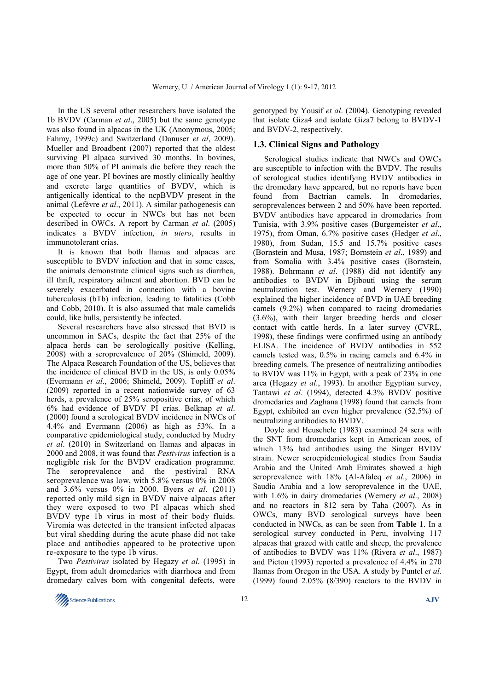In the US several other researchers have isolated the 1b BVDV (Carman *et al*., 2005) but the same genotype was also found in alpacas in the UK (Anonymous, 2005; Fahmy, 1999c) and Switzerland (Danuser *et al*, 2009). Mueller and Broadbent (2007) reported that the oldest surviving PI alpaca survived 30 months. In bovines, more than 50% of PI animals die before they reach the age of one year. PI bovines are mostly clinically healthy and excrete large quantities of BVDV, which is antigenically identical to the ncpBVDV present in the animal (Lefèvre *et al*., 2011). A similar pathogenesis can be expected to occur in NWCs but has not been described in OWCs. A report by Carman *et al*. (2005) indicates a BVDV infection, *in utero*, results in immunotolerant crias.

It is known that both llamas and alpacas are susceptible to BVDV infection and that in some cases, the animals demonstrate clinical signs such as diarrhea, ill thrift, respiratory ailment and abortion. BVD can be severely exacerbated in connection with a bovine tuberculosis (bTb) infection, leading to fatalities (Cobb and Cobb, 2010). It is also assumed that male camelids could, like bulls, persistently be infected.

Several researchers have also stressed that BVD is uncommon in SACs, despite the fact that 25% of the alpaca herds can be serologically positive (Kelling, 2008) with a seroprevalence of 20% (Shimeld, 2009). The Alpaca Research Foundation of the US, believes that the incidence of clinical BVD in the US, is only 0.05% (Evermann *et al*., 2006; Shimeld, 2009). Topliff *et al*. (2009) reported in a recent nationwide survey of 63 herds, a prevalence of 25% seropositive crias, of which 6% had evidence of BVDV PI crias. Belknap *et al*. (2000) found a serological BVDV incidence in NWCs of 4.4% and Evermann (2006) as high as 53%. In a comparative epidemiological study, conducted by Mudry *et al*. (2010) in Switzerland on llamas and alpacas in 2000 and 2008, it was found that *Pestivirus* infection is a negligible risk for the BVDV eradication programme. The seroprevalence and the pestiviral RNA seroprevalence was low, with 5.8% versus 0% in 2008 and 3.6% versus 0% in 2000. Byers *et al*. (2011) reported only mild sign in BVDV naive alpacas after they were exposed to two PI alpacas which shed BVDV type 1b virus in most of their body fluids. Viremia was detected in the transient infected alpacas but viral shedding during the acute phase did not take place and antibodies appeared to be protective upon re-exposure to the type 1b virus.

Two *Pestivirus* isolated by Hegazy *et al*. (1995) in Egypt, from adult dromedaries with diarrhoea and from dromedary calves born with congenital defects, were genotyped by Yousif *et al*. (2004). Genotyping revealed that isolate Giza4 and isolate Giza7 belong to BVDV-1 and BVDV-2, respectively.

## **1.3. Clinical Signs and Pathology**

Serological studies indicate that NWCs and OWCs are susceptible to infection with the BVDV. The results of serological studies identifying BVDV antibodies in the dromedary have appeared, but no reports have been found from Bactrian camels. In dromedaries, seroprevalences between 2 and 50% have been reported. BVDV antibodies have appeared in dromedaries from Tunisia, with 3.9% positive cases (Burgemeister *et al*., 1975), from Oman, 6.7% positive cases (Hedger *et al*., 1980), from Sudan, 15.5 and 15.7% positive cases (Bornstein and Musa, 1987; Bornstein *et al*., 1989) and from Somalia with 3.4% positive cases (Bornstein, 1988). Bohrmann *et al*. (1988) did not identify any antibodies to BVDV in Djibouti using the serum neutralization test. Wernery and Wernery (1990) explained the higher incidence of BVD in UAE breeding camels (9.2%) when compared to racing dromedaries (3.6%), with their larger breeding herds and closer contact with cattle herds. In a later survey (CVRL, 1998), these findings were confirmed using an antibody ELISA. The incidence of BVDV antibodies in 552 camels tested was, 0.5% in racing camels and 6.4% in breeding camels. The presence of neutralizing antibodies to BVDV was 11% in Egypt, with a peak of 23% in one area (Hegazy *et al*., 1993). In another Egyptian survey, Tantawi *et al*. (1994), detected 4.3% BVDV positive dromedaries and Zaghana (1998) found that camels from Egypt, exhibited an even higher prevalence (52.5%) of neutralizing antibodies to BVDV.

Doyle and Heuschele (1983) examined 24 sera with the SNT from dromedaries kept in American zoos, of which 13% had antibodies using the Singer BVDV strain. Newer seroepidemiological studies from Saudia Arabia and the United Arab Emirates showed a high seroprevalence with 18% (Al-Afaleq *et al*., 2006) in Saudia Arabia and a low seroprevalence in the UAE, with 1.6% in dairy dromedaries (Wernery *et al*., 2008) and no reactors in 812 sera by Taha (2007). As in OWCs, many BVD serological surveys have been conducted in NWCs, as can be seen from **Table 1**. In a serological survey conducted in Peru, involving 117 alpacas that grazed with cattle and sheep, the prevalence of antibodies to BVDV was 11% (Rivera *et al*., 1987) and Picton (1993) reported a prevalence of 4.4% in 270 llamas from Oregon in the USA. A study by Puntel *et al*. (1999) found 2.05% (8/390) reactors to the BVDV in

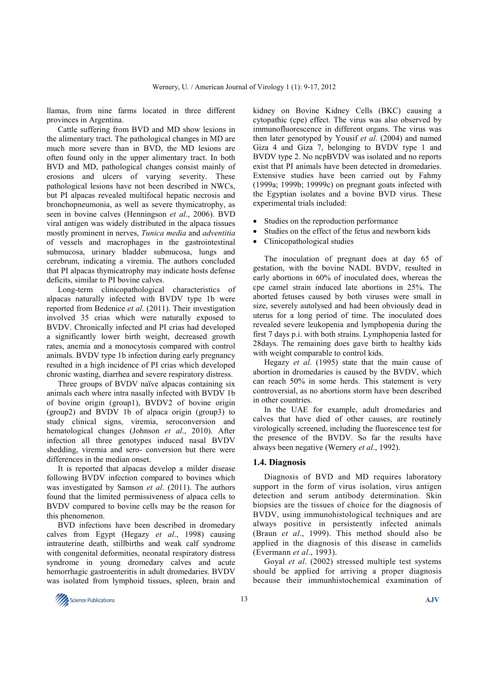llamas, from nine farms located in three different provinces in Argentina.

Cattle suffering from BVD and MD show lesions in the alimentary tract. The pathological changes in MD are much more severe than in BVD, the MD lesions are often found only in the upper alimentary tract. In both BVD and MD, pathological changes consist mainly of erosions and ulcers of varying severity. These pathological lesions have not been described in NWCs, but PI alpacas revealed multifocal hepatic necrosis and bronchopneumonia, as well as severe thymicatrophy, as seen in bovine calves (Henningson *et al*., 2006). BVD viral antigen was widely distributed in the alpaca tissues mostly prominent in nerves, *Tunica media* and *adventitia* of vessels and macrophages in the gastrointestinal submucosa, urinary bladder submucosa, lungs and cerebrum, indicating a viremia. The authors concluded that PI alpacas thymicatrophy may indicate hosts defense deficits, similar to PI bovine calves.

Long-term clinicopathological characteristics of alpacas naturally infected with BVDV type 1b were reported from Bedenice *et al*. (2011). Their investigation involved 35 crias which were naturally exposed to BVDV. Chronically infected and PI crias had developed a significantly lower birth weight, decreased growth rates, anemia and a monocytosis compared with control animals. BVDV type 1b infection during early pregnancy resulted in a high incidence of PI crias which developed chronic wasting, diarrhea and severe respiratory distress.

Three groups of BVDV naïve alpacas containing six animals each where intra nasally infected with BVDV 1b of bovine origin (group1), BVDV2 of bovine origin (group2) and BVDV 1b of alpaca origin (group3) to study clinical signs, viremia, seroconversion and hematological changes (Johnson *et al*., 2010). After infection all three genotypes induced nasal BVDV shedding, viremia and sero- conversion but there were differences in the median onset.

It is reported that alpacas develop a milder disease following BVDV infection compared to bovines which was investigated by Samson *et al*. (2011). The authors found that the limited permissiveness of alpaca cells to BVDV compared to bovine cells may be the reason for this phenomenon.

BVD infections have been described in dromedary calves from Egypt (Hegazy *et al*., 1998) causing intrauterine death, stillbirths and weak calf syndrome with congenital deformities, neonatal respiratory distress syndrome in young dromedary calves and acute hemorrhagic gastroenteritis in adult dromedaries. BVDV was isolated from lymphoid tissues, spleen, brain and kidney on Bovine Kidney Cells (BKC) causing a cytopathic (cpe) effect. The virus was also observed by immunofluorescence in different organs. The virus was then later genotyped by Yousif *et al*. (2004) and named Giza 4 and Giza 7, belonging to BVDV type 1 and BVDV type 2. No ncpBVDV was isolated and no reports exist that PI animals have been detected in dromedaries. Extensive studies have been carried out by Fahmy (1999a; 1999b; 19999c) on pregnant goats infected with the Egyptian isolates and a bovine BVD virus. These experimental trials included:

- Studies on the reproduction performance
- Studies on the effect of the fetus and newborn kids
- Clinicopathological studies

The inoculation of pregnant does at day 65 of gestation, with the bovine NADL BVDV, resulted in early abortions in 60% of inoculated does, whereas the cpe camel strain induced late abortions in 25%. The aborted fetuses caused by both viruses were small in size, severely autolysed and had been obviously dead in uterus for a long period of time. The inoculated does revealed severe leukopenia and lymphopenia during the first 7 days p.i. with both strains. Lymphopenia lasted for 28days. The remaining does gave birth to healthy kids with weight comparable to control kids.

Hegazy *et al*. (1995) state that the main cause of abortion in dromedaries is caused by the BVDV, which can reach 50% in some herds. This statement is very controversial, as no abortions storm have been described in other countries.

In the UAE for example, adult dromedaries and calves that have died of other causes, are routinely virologically screened, including the fluorescence test for the presence of the BVDV. So far the results have always been negative (Wernery *et al*., 1992).

# **1.4. Diagnosis**

Diagnosis of BVD and MD requires laboratory support in the form of virus isolation, virus antigen detection and serum antibody determination. Skin biopsies are the tissues of choice for the diagnosis of BVDV, using immunohistological techniques and are always positive in persistently infected animals (Braun *et al*., 1999). This method should also be applied in the diagnosis of this disease in camelids (Evermann *et al*., 1993).

Goyal *et al*. (2002) stressed multiple test systems should be applied for arriving a proper diagnosis because their immunhistochemical examination of

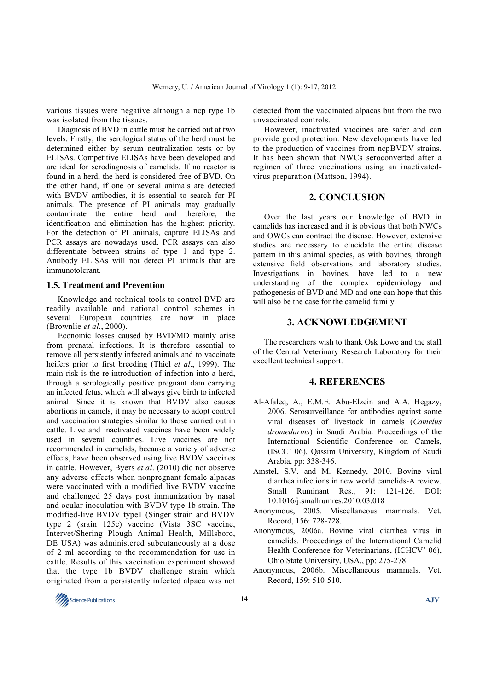various tissues were negative although a ncp type 1b was isolated from the tissues.

Diagnosis of BVD in cattle must be carried out at two levels. Firstly, the serological status of the herd must be determined either by serum neutralization tests or by ELISAs. Competitive ELISAs have been developed and are ideal for serodiagnosis of camelids. If no reactor is found in a herd, the herd is considered free of BVD. On the other hand, if one or several animals are detected with BVDV antibodies, it is essential to search for PI animals. The presence of PI animals may gradually contaminate the entire herd and therefore, the identification and elimination has the highest priority. For the detection of PI animals, capture ELISAs and PCR assays are nowadays used. PCR assays can also differentiate between strains of type 1 and type 2. Antibody ELISAs will not detect PI animals that are immunotolerant.

## **1.5. Treatment and Prevention**

Knowledge and technical tools to control BVD are readily available and national control schemes in several European countries are now in place (Brownlie *et al*., 2000).

Economic losses caused by BVD/MD mainly arise from prenatal infections. It is therefore essential to remove all persistently infected animals and to vaccinate heifers prior to first breeding (Thiel *et al*., 1999). The main risk is the re-introduction of infection into a herd, through a serologically positive pregnant dam carrying an infected fetus, which will always give birth to infected animal. Since it is known that BVDV also causes abortions in camels, it may be necessary to adopt control and vaccination strategies similar to those carried out in cattle. Live and inactivated vaccines have been widely used in several countries. Live vaccines are not recommended in camelids, because a variety of adverse effects, have been observed using live BVDV vaccines in cattle. However, Byers *et al*. (2010) did not observe any adverse effects when nonpregnant female alpacas were vaccinated with a modified live BVDV vaccine and challenged 25 days post immunization by nasal and ocular inoculation with BVDV type 1b strain. The modified-live BVDV type1 (Singer strain and BVDV type 2 (srain 125c) vaccine (Vista 3SC vaccine, Intervet/Shering Plough Animal Health, Millsboro, DE USA) was administered subcutaneously at a dose of 2 ml according to the recommendation for use in cattle. Results of this vaccination experiment showed that the type 1b BVDV challenge strain which originated from a persistently infected alpaca was not

detected from the vaccinated alpacas but from the two unvaccinated controls.

However, inactivated vaccines are safer and can provide good protection. New developments have led to the production of vaccines from ncpBVDV strains. It has been shown that NWCs seroconverted after a regimen of three vaccinations using an inactivatedvirus preparation (Mattson, 1994).

## **2. CONCLUSION**

Over the last years our knowledge of BVD in camelids has increased and it is obvious that both NWCs and OWCs can contract the disease. However, extensive studies are necessary to elucidate the entire disease pattern in this animal species, as with bovines, through extensive field observations and laboratory studies. Investigations in bovines, have led to a new understanding of the complex epidemiology and pathogenesis of BVD and MD and one can hope that this will also be the case for the camelid family.

# **3. ACKNOWLEDGEMENT**

The researchers wish to thank Osk Lowe and the staff of the Central Veterinary Research Laboratory for their excellent technical support.

### **4. REFERENCES**

- Al-Afaleq, A., E.M.E. Abu-Elzein and A.A. Hegazy, 2006. Serosurveillance for antibodies against some viral diseases of livestock in camels (*Camelus dromedarius*) in Saudi Arabia. Proceedings of the International Scientific Conference on Camels, (ISCC' 06), Qassim University, Kingdom of Saudi Arabia, pp: 338-346.
- Amstel, S.V. and M. Kennedy, 2010. Bovine viral diarrhea infections in new world camelids-A review. Small Ruminant Res., 91: 121-126. DOI: 10.1016/j.smallrumres.2010.03.018
- Anonymous, 2005. Miscellaneous mammals. Vet. Record, 156: 728-728.
- Anonymous, 2006a. Bovine viral diarrhea virus in camelids. Proceedings of the International Camelid Health Conference for Veterinarians, (ICHCV' 06), Ohio State University, USA., pp: 275-278.
- Anonymous, 2006b. Miscellaneous mammals. Vet. Record, 159: 510-510.

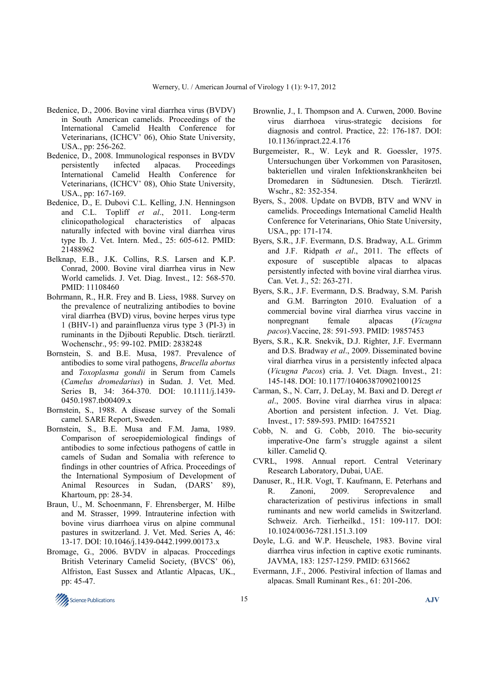- Bedenice, D., 2006. Bovine viral diarrhea virus (BVDV) in South American camelids. Proceedings of the International Camelid Health Conference for Veterinarians, (ICHCV' 06), Ohio State University, USA., pp: 256-262.
- Bedenice, D., 2008. Immunological responses in BVDV persistently infected alpacas. Proceedings International Camelid Health Conference for Veterinarians, (ICHCV' 08), Ohio State University, USA., pp: 167-169.
- Bedenice, D., E. Dubovi C.L. Kelling, J.N. Henningson and C.L. Topliff *et al*., 2011. Long-term clinicopathological characteristics of alpacas naturally infected with bovine viral diarrhea virus type Ib. J. Vet. Intern. Med., 25: 605-612. PMID: 21488962
- Belknap, E.B., J.K. Collins, R.S. Larsen and K.P. Conrad, 2000. Bovine viral diarrhea virus in New World camelids. J. Vet. Diag. Invest., 12: 568-570. PMID: 11108460
- Bohrmann, R., H.R. Frey and B. Liess, 1988. Survey on the prevalence of neutralizing antibodies to bovine viral diarrhea (BVD) virus, bovine herpes virus type 1 (BHV-1) and parainfluenza virus type 3 (PI-3) in ruminants in the Djibouti Republic. Dtsch. tierärztl. Wochenschr., 95: 99-102. PMID: 2838248
- Bornstein, S. and B.E. Musa, 1987. Prevalence of antibodies to some viral pathogens, *Brucella abortus* and *Toxoplasma gondii* in Serum from Camels (*Camelus dromedarius*) in Sudan. J. Vet. Med. Series B, 34: 364-370. DOI: 10.1111/j.1439- 0450.1987.tb00409.x
- Bornstein, S., 1988. A disease survey of the Somali camel. SARE Report, Sweden.
- Bornstein, S., B.E. Musa and F.M. Jama, 1989. Comparison of seroepidemiological findings of antibodies to some infectious pathogens of cattle in camels of Sudan and Somalia with reference to findings in other countries of Africa. Proceedings of the International Symposium of Development of Animal Resources in Sudan, (DARS' 89), Khartoum, pp: 28-34.
- Braun, U., M. Schoenmann, F. Ehrensberger, M. Hilbe and M. Strasser, 1999. Intrauterine infection with bovine virus diarrhoea virus on alpine communal pastures in switzerland. J. Vet. Med. Series A, 46: 13-17. DOI: 10.1046/j.1439-0442.1999.00173.x
- Bromage, G., 2006. BVDV in alpacas. Proccedings British Veterinary Camelid Society, (BVCS' 06), Alfriston, East Sussex and Atlantic Alpacas, UK., pp: 45-47.
- Brownlie, J., I. Thompson and A. Curwen, 2000. Bovine virus diarrhoea virus-strategic decisions for diagnosis and control. Practice, 22: 176-187. DOI: 10.1136/inpract.22.4.176
- Burgemeister, R., W. Leyk and R. Goessler, 1975. Untersuchungen über Vorkommen von Parasitosen, bakteriellen und viralen Infektionskrankheiten bei Dromedaren in Südtunesien. Dtsch. Tierärztl. Wschr., 82: 352-354.
- Byers, S., 2008. Update on BVDB, BTV and WNV in camelids. Proceedings International Camelid Health Conference for Veterinarians, Ohio State University, USA., pp: 171-174.
- Byers, S.R., J.F. Evermann, D.S. Bradway, A.L. Grimm and J.F. Ridpath *et al*., 2011. The effects of exposure of susceptible alpacas to alpacas persistently infected with bovine viral diarrhea virus. Can. Vet. J., 52: 263-271.
- Byers, S.R., J.F. Evermann, D.S. Bradway, S.M. Parish and G.M. Barrington 2010. Evaluation of a commercial bovine viral diarrhea virus vaccine in nonpregnant female alpacas (*Vicugna pacos*).Vaccine, 28: 591-593. PMID: 19857453
- Byers, S.R., K.R. Snekvik, D.J. Righter, J.F. Evermann and D.S. Bradway *et al*., 2009. Disseminated bovine viral diarrhea virus in a persistently infected alpaca (*Vicugna Pacos*) cria. J. Vet. Diagn. Invest., 21: 145-148. DOI: 10.1177/104063870902100125
- Carman, S., N. Carr, J. DeLay, M. Baxi and D. Deregt *et al*., 2005. Bovine viral diarrhea virus in alpaca: Abortion and persistent infection. J. Vet. Diag. Invest., 17: 589-593. PMID: 16475521
- Cobb, N. and G. Cobb, 2010. The bio-security imperative-One farm's struggle against a silent killer. Camelid Q.
- CVRL, 1998. Annual report. Central Veterinary Research Laboratory, Dubai, UAE.
- Danuser, R., H.R. Vogt, T. Kaufmann, E. Peterhans and R. Zanoni, 2009. Seroprevalence and characterization of pestivirus infections in small ruminants and new world camelids in Switzerland. Schweiz. Arch. Tierheilkd., 151: 109-117. DOI: 10.1024/0036-7281.151.3.109
- Doyle, L.G. and W.P. Heuschele, 1983. Bovine viral diarrhea virus infection in captive exotic ruminants. JAVMA, 183: 1257-1259. PMID: 6315662
- Evermann, J.F., 2006. Pestiviral infection of llamas and alpacas. Small Ruminant Res., 61: 201-206.

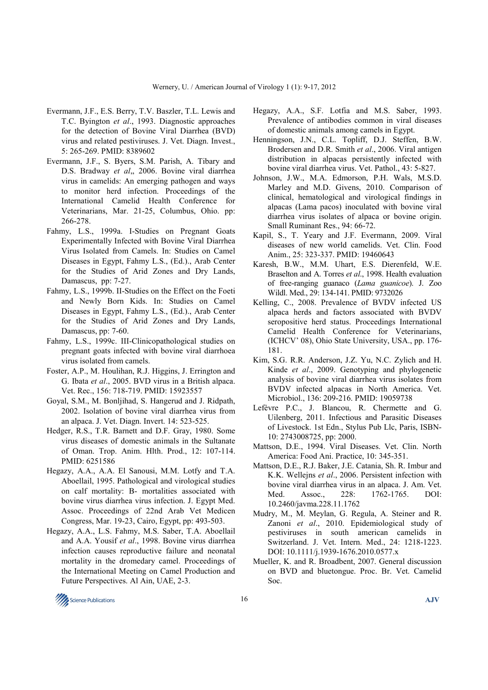- Evermann, J.F., E.S. Berry, T.V. Baszler, T.L. Lewis and T.C. Byington *et al*., 1993. Diagnostic approaches for the detection of Bovine Viral Diarrhea (BVD) virus and related pestiviruses. J. Vet. Diagn. Invest., 5: 265-269. PMID: 8389602
- Evermann, J.F., S. Byers, S.M. Parish, A. Tibary and D.S. Bradway *et al*,, 2006. Bovine viral diarrhea virus in camelids: An emerging pathogen and ways to monitor herd infection. Proceedings of the International Camelid Health Conference for Veterinarians, Mar. 21-25, Columbus, Ohio. pp: 266-278.
- Fahmy, L.S., 1999a. I-Studies on Pregnant Goats Experimentally Infected with Bovine Viral Diarrhea Virus Isolated from Camels. In: Studies on Camel Diseases in Egypt, Fahmy L.S., (Ed.)., Arab Center for the Studies of Arid Zones and Dry Lands, Damascus, pp: 7-27.
- Fahmy, L.S., 1999b. II-Studies on the Effect on the Foeti and Newly Born Kids. In: Studies on Camel Diseases in Egypt, Fahmy L.S., (Ed.)., Arab Center for the Studies of Arid Zones and Dry Lands, Damascus, pp: 7-60.
- Fahmy, L.S., 1999c. III-Clinicopathological studies on pregnant goats infected with bovine viral diarrhoea virus isolated from camels.
- Foster, A.P., M. Houlihan, R.J. Higgins, J. Errington and G. Ibata *et al*., 2005. BVD virus in a British alpaca. Vet. Rec., 156: 718-719. PMID: 15923557
- Goyal, S.M., M. Bonljihad, S. Hangerud and J. Ridpath, 2002. Isolation of bovine viral diarrhea virus from an alpaca. J. Vet. Diagn. Invert. 14: 523-525.
- Hedger, R.S., T.R. Barnett and D.F. Gray, 1980. Some virus diseases of domestic animals in the Sultanate of Oman. Trop. Anim. Hlth. Prod., 12: 107-114. PMID: 6251586
- Hegazy, A.A., A.A. El Sanousi, M.M. Lotfy and T.A. Aboellail, 1995. Pathological and virological studies on calf mortality: B- mortalities associated with bovine virus diarrhea virus infection. J. Egypt Med. Assoc. Proceedings of 22nd Arab Vet Medicen Congress, Mar. 19-23, Cairo, Egypt, pp: 493-503.
- Hegazy, A.A., L.S. Fahmy, M.S. Saber, T.A. Aboellail and A.A. Yousif *et al*., 1998. Bovine virus diarrhea infection causes reproductive failure and neonatal mortality in the dromedary camel. Proceedings of the International Meeting on Camel Production and Future Perspectives. Al Ain, UAE, 2-3.
- Hegazy, A.A., S.F. Lotfia and M.S. Saber, 1993. Prevalence of antibodies common in viral diseases of domestic animals among camels in Egypt.
- Henningson, J.N., C.L. Topliff, D.J. Steffen, B.W. Brodersen and D.R. Smith *et al*., 2006. Viral antigen distribution in alpacas persistently infected with bovine viral diarrhea virus. Vet. Pathol., 43: 5-827.
- Johnson, J.W., M.A. Edmorson, P.H. Wals, M.S.D. Marley and M.D. Givens, 2010. Comparison of clinical, hematological and virological findings in alpacas (Lama pacos) inoculated with bovine viral diarrhea virus isolates of alpaca or bovine origin. Small Ruminant Res., 94: 66-72.
- Kapil, S., T. Yeary and J.F. Evermann, 2009. Viral diseases of new world camelids. Vet. Clin. Food Anim., 25: 323-337. PMID: 19460643
- Karesh, B.W., M.M. Uhart, E.S. Dierenfeld, W.E. Braselton and A. Torres *et al*., 1998. Health evaluation of free-ranging guanaco (*Lama guanicoe*). J. Zoo Wildl. Med., 29: 134-141. PMID: 9732026
- Kelling, C., 2008. Prevalence of BVDV infected US alpaca herds and factors associated with BVDV seropositive herd status. Proceedings International Camelid Health Conference for Veterinarians, (ICHCV' 08), Ohio State University, USA., pp. 176- 181.
- Kim, S.G. R.R. Anderson, J.Z. Yu, N.C. Zylich and H. Kinde *et al*., 2009. Genotyping and phylogenetic analysis of bovine viral diarrhea virus isolates from BVDV infected alpacas in North America. Vet. Microbiol., 136: 209-216. PMID: 19059738
- Lefèvre P.C., J. Blancou, R. Chermette and G. Uilenberg, 2011. Infectious and Parasitic Diseases of Livestock. 1st Edn., Stylus Pub Llc, Paris, ISBN-10: 2743008725, pp: 2000.
- Mattson, D.E., 1994. Viral Diseases. Vet. Clin. North America: Food Ani. Practice, 10: 345-351.
- Mattson, D.E., R.J. Baker, J.E. Catania, Sh. R. Imbur and K.K. Wellejns *et al*., 2006. Persistent infection with bovine viral diarrhea virus in an alpaca. J. Am. Vet. Med. Assoc., 228: 1762-1765. DOI: 10.2460/javma.228.11.1762
- Mudry, M., M. Meylan, G. Regula, A. Steiner and R. Zanoni *et al*., 2010. Epidemiological study of pestiviruses in south american camelids in Switzerland. J. Vet. Intern. Med., 24: 1218-1223. DOI: 10.1111/j.1939-1676.2010.0577.x
- Mueller, K. and R. Broadbent, 2007. General discussion on BVD and bluetongue. Proc. Br. Vet. Camelid Soc.